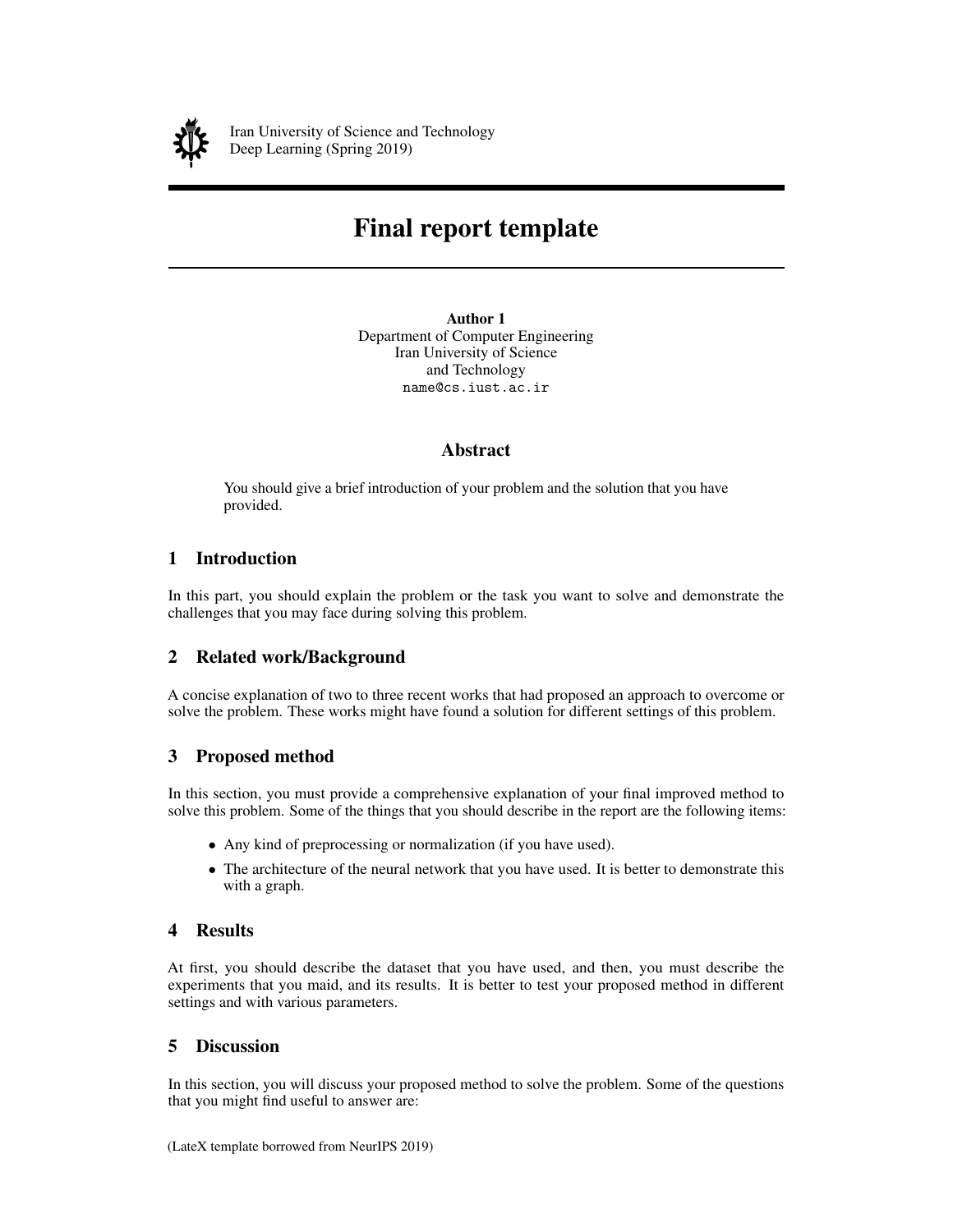

Iran University of Science and Technology Deep Learning (Spring 2019)

# Final report template

Author 1 Department of Computer Engineering Iran University of Science and Technology name@cs.iust.ac.ir

### Abstract

You should give a brief introduction of your problem and the solution that you have provided.

## 1 Introduction

In this part, you should explain the problem or the task you want to solve and demonstrate the challenges that you may face during solving this problem.

### 2 Related work/Background

A concise explanation of two to three recent works that had proposed an approach to overcome or solve the problem. These works might have found a solution for different settings of this problem.

### 3 Proposed method

In this section, you must provide a comprehensive explanation of your final improved method to solve this problem. Some of the things that you should describe in the report are the following items:

- Any kind of preprocessing or normalization (if you have used).
- The architecture of the neural network that you have used. It is better to demonstrate this with a graph.

### 4 Results

At first, you should describe the dataset that you have used, and then, you must describe the experiments that you maid, and its results. It is better to test your proposed method in different settings and with various parameters.

### 5 Discussion

In this section, you will discuss your proposed method to solve the problem. Some of the questions that you might find useful to answer are: